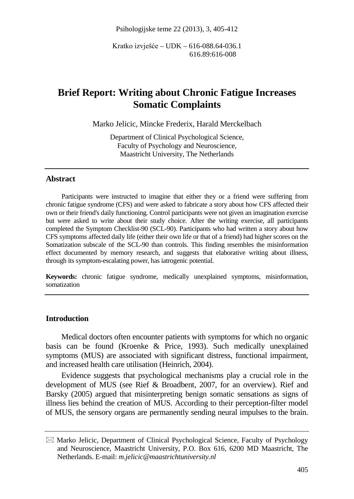Psihologijske teme 22 (2013), 3, 405-412

Kratko izvješće – UDK – 616-088.64-036.1 616.89:616-008

# **Brief Report: Writing about Chronic Fatigue Increases Somatic Complaints**

Marko Jelicic, Mincke Frederix, Harald Merckelbach

Department of Clinical Psychological Science, Faculty of Psychology and Neuroscience, Maastricht University, The Netherlands

#### **Abstract**

Participants were instructed to imagine that either they or a friend were suffering from chronic fatigue syndrome (CFS) and were asked to fabricate a story about how CFS affected their own or their friend's daily functioning. Control participants were not given an imagination exercise but were asked to write about their study choice. After the writing exercise, all participants completed the Symptom Checklist-90 (SCL-90). Participants who had written a story about how CFS symptoms affected daily life (either their own life or that of a friend) had higher scores on the Somatization subscale of the SCL-90 than controls. This finding resembles the misinformation effect documented by memory research, and suggests that elaborative writing about illness, through its symptom-escalating power, has iatrogenic potential.

**Keywords:** chronic fatigue syndrome, medically unexplained symptoms, misinformation, somatization

### **Introduction**

Medical doctors often encounter patients with symptoms for which no organic basis can be found (Kroenke & Price, 1993). Such medically unexplained symptoms (MUS) are associated with significant distress, functional impairment, and increased health care utilisation (Heinrich, 2004).

Evidence suggests that psychological mechanisms play a crucial role in the development of MUS (see Rief & Broadbent, 2007, for an overview). Rief and Barsky (2005) argued that misinterpreting benign somatic sensations as signs of illness lies behind the creation of MUS. According to their perception-filter model of MUS, the sensory organs are permanently sending neural impulses to the brain.

 $\boxtimes$  Marko Jelicic, Department of Clinical Psychological Science, Faculty of Psychology and Neuroscience, Maastricht University, P.O. Box 616, 6200 MD Maastricht, The Netherlands. E-mail: *m.jelicic@maastrichtuniversity.nl*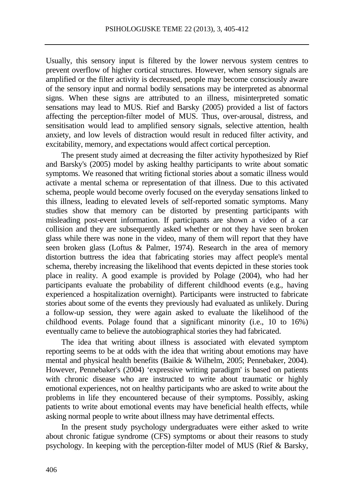Usually, this sensory input is filtered by the lower nervous system centres to prevent overflow of higher cortical structures. However, when sensory signals are amplified or the filter activity is decreased, people may become consciously aware of the sensory input and normal bodily sensations may be interpreted as abnormal signs. When these signs are attributed to an illness, misinterpreted somatic sensations may lead to MUS. Rief and Barsky (2005) provided a list of factors affecting the perception-filter model of MUS. Thus, over-arousal, distress, and sensitisation would lead to amplified sensory signals, selective attention, health anxiety, and low levels of distraction would result in reduced filter activity, and excitability, memory, and expectations would affect cortical perception.

The present study aimed at decreasing the filter activity hypothesized by Rief and Barsky's (2005) model by asking healthy participants to write about somatic symptoms. We reasoned that writing fictional stories about a somatic illness would activate a mental schema or representation of that illness. Due to this activated schema, people would become overly focused on the everyday sensations linked to this illness, leading to elevated levels of self-reported somatic symptoms. Many studies show that memory can be distorted by presenting participants with misleading post-event information. If participants are shown a video of a car collision and they are subsequently asked whether or not they have seen broken glass while there was none in the video, many of them will report that they have seen broken glass (Loftus & Palmer, 1974). Research in the area of memory distortion buttress the idea that fabricating stories may affect people's mental schema, thereby increasing the likelihood that events depicted in these stories took place in reality. A good example is provided by Polage (2004), who had her participants evaluate the probability of different childhood events (e.g., having experienced a hospitalization overnight). Participants were instructed to fabricate stories about some of the events they previously had evaluated as unlikely. During a follow-up session, they were again asked to evaluate the likelihood of the childhood events. Polage found that a significant minority (i.e., 10 to 16%) eventually came to believe the autobiographical stories they had fabricated.

The idea that writing about illness is associated with elevated symptom reporting seems to be at odds with the idea that writing about emotions may have mental and physical health benefits (Baikie & Wilhelm, 2005; Pennebaker, 2004). However, Pennebaker's (2004) 'expressive writing paradigm' is based on patients with chronic disease who are instructed to write about traumatic or highly emotional experiences, not on healthy participants who are asked to write about the problems in life they encountered because of their symptoms. Possibly, asking patients to write about emotional events may have beneficial health effects, while asking normal people to write about illness may have detrimental effects.

In the present study psychology undergraduates were either asked to write about chronic fatigue syndrome (CFS) symptoms or about their reasons to study psychology. In keeping with the perception-filter model of MUS (Rief & Barsky,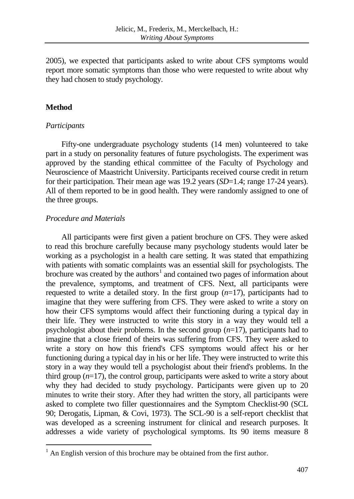2005), we expected that participants asked to write about CFS symptoms would report more somatic symptoms than those who were requested to write about why they had chosen to study psychology.

## **Method**

## *Participants*

Fifty-one undergraduate psychology students (14 men) volunteered to take part in a study on personality features of future psychologists. The experiment was approved by the standing ethical committee of the Faculty of Psychology and Neuroscience of Maastricht University. Participants received course credit in return for their participation. Their mean age was 19.2 years (*SD*=1.4; range 17-24 years). All of them reported to be in good health. They were randomly assigned to one of the three groups.

## *Procedure and Materials*

All participants were first given a patient brochure on CFS. They were asked to read this brochure carefully because many psychology students would later be working as a psychologist in a health care setting. It was stated that empathizing with patients with somatic complaints was an essential skill for psychologists. The brochure was created by the authors<sup>[1](#page-2-0)</sup> and contained two pages of information about the prevalence, symptoms, and treatment of CFS. Next, all participants were requested to write a detailed story. In the first group (*n*=17), participants had to imagine that they were suffering from CFS. They were asked to write a story on how their CFS symptoms would affect their functioning during a typical day in their life. They were instructed to write this story in a way they would tell a psychologist about their problems. In the second group (*n*=17), participants had to imagine that a close friend of theirs was suffering from CFS. They were asked to write a story on how this friend's CFS symptoms would affect his or her functioning during a typical day in his or her life. They were instructed to write this story in a way they would tell a psychologist about their friend's problems. In the third group (*n*=17), the control group, participants were asked to write a story about why they had decided to study psychology. Participants were given up to 20 minutes to write their story. After they had written the story, all participants were asked to complete two filler questionnaires and the Symptom Checklist-90 (SCL 90; Derogatis, Lipman, & Covi, 1973). The SCL-90 is a self-report checklist that was developed as a screening instrument for clinical and research purposes. It addresses a wide variety of psychological symptoms. Its 90 items measure 8

<span id="page-2-0"></span> $1$  An English version of this brochure may be obtained from the first author.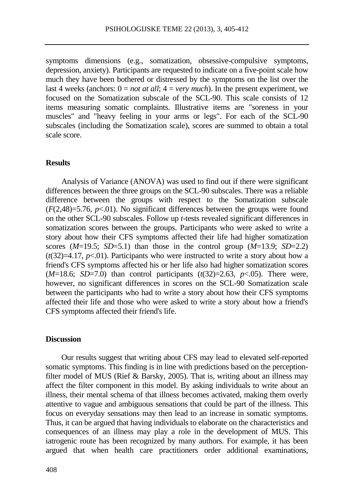symptoms dimensions (e.g., somatization, obsessive-compulsive symptoms, depression, anxiety). Participants are requested to indicate on a five-point scale how much they have been bothered or distressed by the symptoms on the list over the last 4 weeks (anchors:  $0 = not$  *at all*;  $4 = very *much*$ ). In the present experiment, we focused on the Somatization subscale of the SCL-90. This scale consists of 12 items measuring somatic complaints. Illustrative items are "soreness in your muscles" and "heavy feeling in your arms or legs". For each of the SCL-90 subscales (including the Somatization scale), scores are summed to obtain a total scale score.

#### **Results**

Analysis of Variance (ANOVA) was used to find out if there were significant differences between the three groups on the SCL-90 subscales. There was a reliable difference between the groups with respect to the Somatization subscale  $(F(2,48)=5.76, p<.01)$ . No significant differences between the groups were found on the other SCL-90 subscales. Follow up *t*-tests revealed significant differences in somatization scores between the groups. Participants who were asked to write a story about how their CFS symptoms affected their life had higher somatization scores  $(M=19.5; SD=5.1)$  than those in the control group  $(M=13.9; SD=2.2)$  $(t(32)=4.17, p<0.01)$ . Participants who were instructed to write a story about how a friend's CFS symptoms affected his or her life also had higher somatization scores  $(M=18.6; SD=7.0)$  than control participants  $(t(32)=2.63, p<0.05)$ . There were, however, no significant differences in scores on the SCL-90 Somatization scale between the participants who had to write a story about how their CFS symptoms affected their life and those who were asked to write a story about how a friend's CFS symptoms affected their friend's life.

#### **Discussion**

Our results suggest that writing about CFS may lead to elevated self-reported somatic symptoms. This finding is in line with predictions based on the perceptionfilter model of MUS (Rief & Barsky, 2005). That is, writing about an illness may affect the filter component in this model. By asking individuals to write about an illness, their mental schema of that illness becomes activated, making them overly attentive to vague and ambiguous sensations that could be part of the illness. This focus on everyday sensations may then lead to an increase in somatic symptoms. Thus, it can be argued that having individuals to elaborate on the characteristics and consequences of an illness may play a role in the development of MUS. This iatrogenic route has been recognized by many authors. For example, it has been argued that when health care practitioners order additional examinations,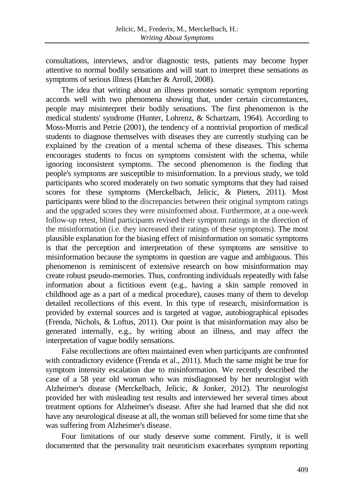consultations, interviews, and/or diagnostic tests, patients may become hyper attentive to normal bodily sensations and will start to interpret these sensations as symptoms of serious illness (Hatcher & Arroll, 2008).

The idea that writing about an illness promotes somatic symptom reporting accords well with two phenomena showing that, under certain circumstances, people may misinterpret their bodily sensations. The first phenomenon is the medical students' syndrome (Hunter, Lohrenz, & Schartzam, 1964). According to Moss-Morris and Petrie (2001), the tendency of a nontrivial proportion of medical students to diagnose themselves with diseases they are currently studying can be explained by the creation of a mental schema of these diseases. This schema encourages students to focus on symptoms consistent with the schema, while ignoring inconsistent symptoms. The second phenomenon is the finding that people's symptoms are susceptible to misinformation. In a previous study, we told participants who scored moderately on two somatic symptoms that they had raised scores for these symptoms (Merckelbach, Jelicic, & Pieters, 2011). Most participants were blind to the discrepancies between their original symptom ratings and the upgraded scores they were misinformed about. Furthermore, at a one-week follow-up retest, blind participants revised their symptom ratings in the direction of the misinformation (i.e. they increased their ratings of these symptoms). The most plausible explanation for the biasing effect of misinformation on somatic symptoms is that the perception and interpretation of these symptoms are sensitive to misinformation because the symptoms in question are vague and ambiguous. This phenomenon is reminiscent of extensive research on how misinformation may create robust pseudo-memories. Thus, confronting individuals repeatedly with false information about a fictitious event (e.g., having a skin sample removed in childhood age as a part of a medical procedure), causes many of them to develop detailed recollections of this event. In this type of research, misinformation is provided by external sources and is targeted at vague, autobiographical episodes (Frenda, Nichols, & Loftus, 2011). Our point is that misinformation may also be generated internally, e.g., by writing about an illness, and may affect the interpretation of vague bodily sensations.

False recollections are often maintained even when participants are confronted with contradictory evidence (Frenda et al., 2011). Much the same might be true for symptom intensity escalation due to misinformation. We recently described the case of a 58 year old woman who was misdiagnosed by her neurologist with Alzheimer's disease (Merckelbach, Jelicic, & Jonker, 2012). The neurologist provided her with misleading test results and interviewed her several times about treatment options for Alzheimer's disease. After she had learned that she did not have any neurological disease at all, the woman still believed for some time that she was suffering from Alzheimer's disease.

Four limitations of our study deserve some comment. Firstly, it is well documented that the personality trait neuroticism exacerbates symptom reporting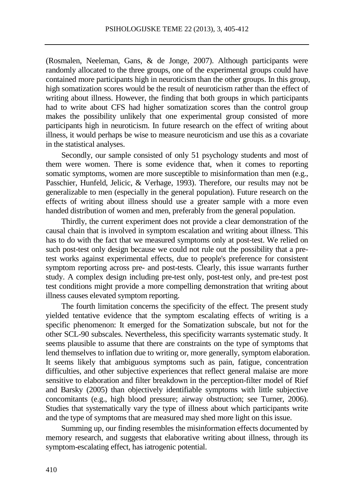(Rosmalen, Neeleman, Gans, & de Jonge, 2007). Although participants were randomly allocated to the three groups, one of the experimental groups could have contained more participants high in neuroticism than the other groups. In this group, high somatization scores would be the result of neuroticism rather than the effect of writing about illness. However, the finding that both groups in which participants had to write about CFS had higher somatization scores than the control group makes the possibility unlikely that one experimental group consisted of more participants high in neuroticism. In future research on the effect of writing about illness, it would perhaps be wise to measure neuroticism and use this as a covariate in the statistical analyses.

Secondly, our sample consisted of only 51 psychology students and most of them were women. There is some evidence that, when it comes to reporting somatic symptoms, women are more susceptible to misinformation than men (e.g., Passchier, Hunfeld, Jelicic, & Verhage, 1993). Therefore, our results may not be generalizable to men (especially in the general population). Future research on the effects of writing about illness should use a greater sample with a more even handed distribution of women and men, preferably from the general population.

Thirdly, the current experiment does not provide a clear demonstration of the causal chain that is involved in symptom escalation and writing about illness. This has to do with the fact that we measured symptoms only at post-test. We relied on such post-test only design because we could not rule out the possibility that a pretest works against experimental effects, due to people's preference for consistent symptom reporting across pre- and post-tests. Clearly, this issue warrants further study. A complex design including pre-test only, post-test only, and pre-test post test conditions might provide a more compelling demonstration that writing about illness causes elevated symptom reporting.

The fourth limitation concerns the specificity of the effect. The present study yielded tentative evidence that the symptom escalating effects of writing is a specific phenomenon: It emerged for the Somatization subscale, but not for the other SCL-90 subscales. Nevertheless, this specificity warrants systematic study. It seems plausible to assume that there are constraints on the type of symptoms that lend themselves to inflation due to writing or, more generally, symptom elaboration. It seems likely that ambiguous symptoms such as pain, fatigue, concentration difficulties, and other subjective experiences that reflect general malaise are more sensitive to elaboration and filter breakdown in the perception-filter model of Rief and Barsky (2005) than objectively identifiable symptoms with little subjective concomitants (e.g., high blood pressure; airway obstruction; see Turner, 2006). Studies that systematically vary the type of illness about which participants write and the type of symptoms that are measured may shed more light on this issue.

Summing up, our finding resembles the misinformation effects documented by memory research, and suggests that elaborative writing about illness, through its symptom-escalating effect, has iatrogenic potential.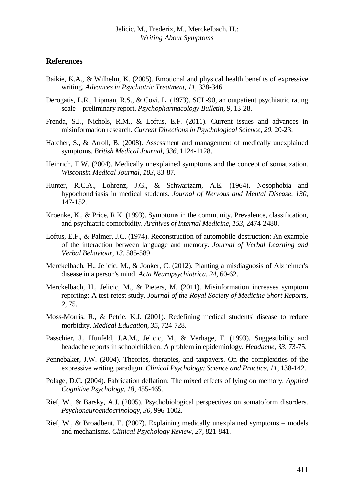### **References**

- Baikie, K.A., & Wilhelm, K. (2005). Emotional and physical health benefits of expressive writing. *Advances in Psychiatric Treatment, 11,* 338-346.
- Derogatis, L.R., Lipman, R.S., & Covi, L. (1973). SCL-90, an outpatient psychiatric rating scale – preliminary report. *Psychopharmacology Bulletin, 9,* 13-28.
- Frenda, S.J., Nichols, R.M., & Loftus, E.F. (2011). Current issues and advances in misinformation research. *Current Directions in Psychological Science, 20,* 20-23.
- Hatcher, S., & Arroll, B. (2008). Assessment and management of medically unexplained symptoms. *British Medical Journal, 336,* 1124-1128.
- Heinrich, T.W. (2004). Medically unexplained symptoms and the concept of somatization. *Wisconsin Medical Journal, 103,* 83-87.
- Hunter, R.C.A., Lohrenz, J.G., & Schwartzam, A.E. (1964). Nosophobia and hypochondriasis in medical students. *Journal of Nervous and Mental Disease, 130,*  147-152.
- Kroenke, K., & Price, R.K. (1993). Symptoms in the community. Prevalence, classification, and psychiatric comorbidity. *Archives of Internal Medicine, 153,* 2474-2480.
- Loftus, E.F., & Palmer, J.C. (1974). Reconstruction of automobile-destruction: An example of the interaction between language and memory. *Journal of Verbal Learning and Verbal Behaviour, 13,* 585-589.
- Merckelbach, H., Jelicic, M., & Jonker, C. (2012). Planting a misdiagnosis of Alzheimer's disease in a person's mind. *Acta Neuropsychiatrica, 24,* 60-62.
- Merckelbach, H., Jelicic, M., & Pieters, M. (2011). Misinformation increases symptom reporting: A test-retest study. *Journal of the Royal Society of Medicine Short Reports, 2,* 75.
- Moss-Morris, R., & Petrie, K.J. (2001). Redefining medical students' disease to reduce morbidity. *Medical Education, 35,* 724-728.
- Passchier, J., Hunfeld, J.A.M., Jelicic, M., & Verhage, F. (1993). Suggestibility and headache reports in schoolchildren: A problem in epidemiology. *Headache, 33,* 73-75.
- Pennebaker, J.W. (2004). Theories, therapies, and taxpayers. On the complexities of the expressive writing paradigm. *Clinical Psychology: Science and Practice, 11*, 138-142.
- Polage, D.C. (2004). Fabrication deflation: The mixed effects of lying on memory. *Applied Cognitive Psychology, 18,* 455-465.
- Rief, W., & Barsky, A.J. (2005). Psychobiological perspectives on somatoform disorders. *Psychoneuroendocrinology, 30,* 996-1002.
- Rief, W., & Broadbent, E. (2007). Explaining medically unexplained symptoms models and mechanisms. *Clinical Psychology Review, 27,* 821-841.